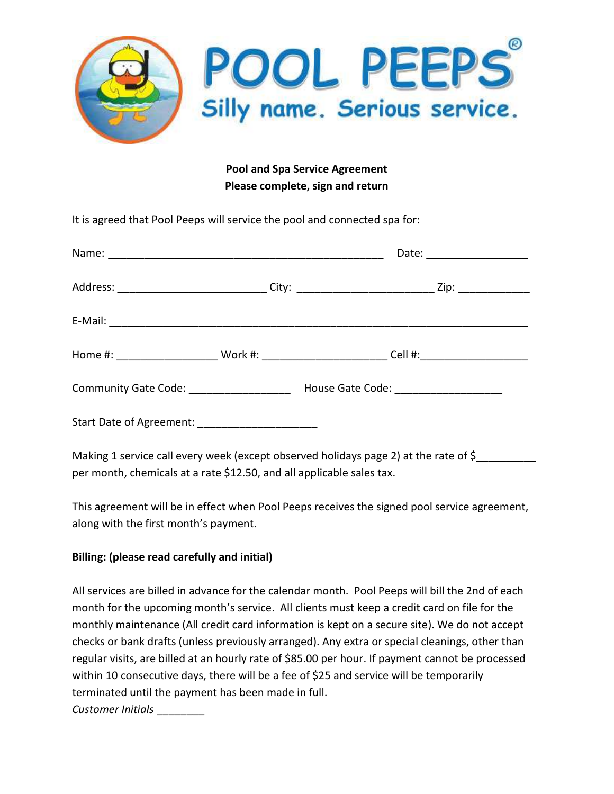

## Pool and Spa Service Agreement Please complete, sign and return

It is agreed that Pool Peeps will service the pool and connected spa for:

| Address: _______________________________City: _________________________________Zip: ________________ |  |  |
|------------------------------------------------------------------------------------------------------|--|--|
|                                                                                                      |  |  |
|                                                                                                      |  |  |
| Community Gate Code: _______________________ House Gate Code: __________________                     |  |  |
| Start Date of Agreement: ________________________                                                    |  |  |

Making 1 service call every week (except observed holidays page 2) at the rate of \$ per month, chemicals at a rate \$12.50, and all applicable sales tax.

This agreement will be in effect when Pool Peeps receives the signed pool service agreement, along with the first month's payment.

## Billing: (please read carefully and initial)

All services are billed in advance for the calendar month. Pool Peeps will bill the 2nd of each month for the upcoming month's service. All clients must keep a credit card on file for the monthly maintenance (All credit card information is kept on a secure site). We do not accept checks or bank drafts (unless previously arranged). Any extra or special cleanings, other than regular visits, are billed at an hourly rate of \$85.00 per hour. If payment cannot be processed within 10 consecutive days, there will be a fee of \$25 and service will be temporarily terminated until the payment has been made in full. Customer Initials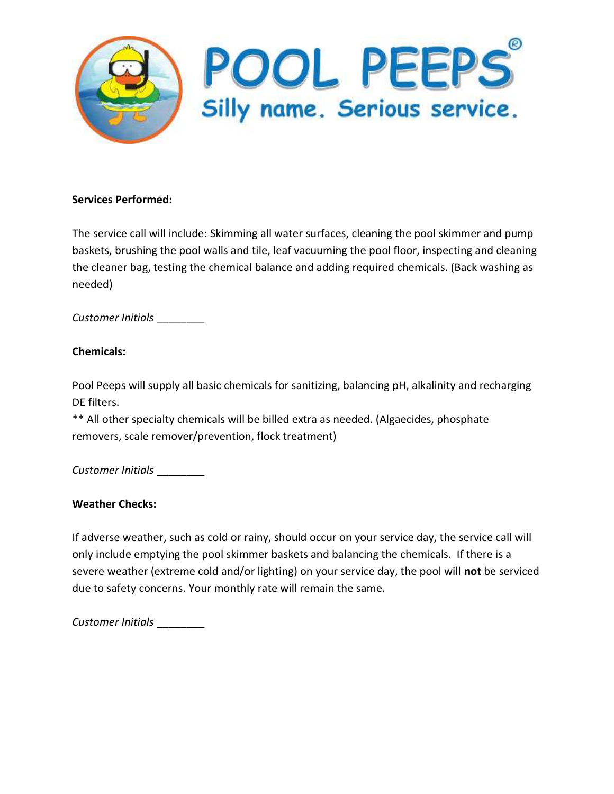

### Services Performed:

The service call will include: Skimming all water surfaces, cleaning the pool skimmer and pump baskets, brushing the pool walls and tile, leaf vacuuming the pool floor, inspecting and cleaning the cleaner bag, testing the chemical balance and adding required chemicals. (Back washing as needed)

Customer Initials \_\_\_\_\_\_\_\_

## Chemicals:

Pool Peeps will supply all basic chemicals for sanitizing, balancing pH, alkalinity and recharging DE filters.

\*\* All other specialty chemicals will be billed extra as needed. (Algaecides, phosphate removers, scale remover/prevention, flock treatment)

Customer Initials

## Weather Checks:

If adverse weather, such as cold or rainy, should occur on your service day, the service call will only include emptying the pool skimmer baskets and balancing the chemicals. If there is a severe weather (extreme cold and/or lighting) on your service day, the pool will not be serviced due to safety concerns. Your monthly rate will remain the same.

Customer Initials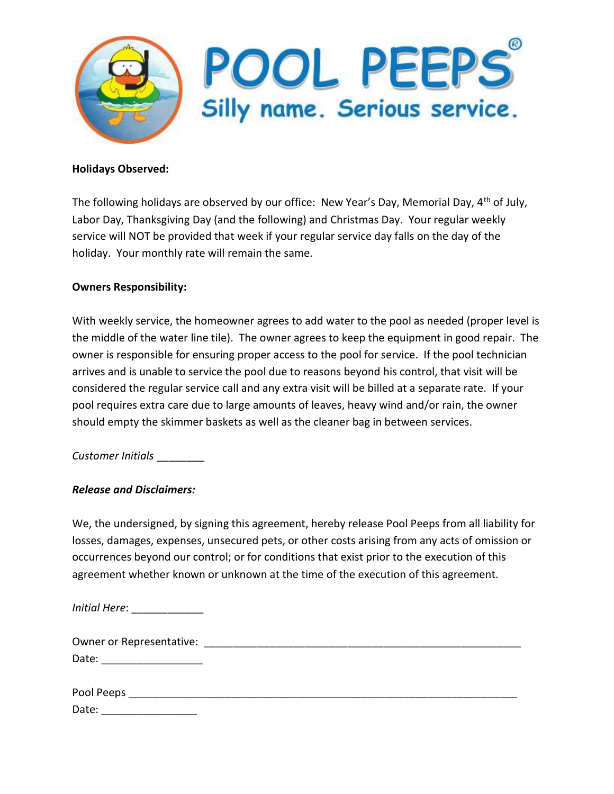

#### Holidays Observed:

The following holidays are observed by our office: New Year's Day, Memorial Day, 4<sup>th</sup> of July, Labor Day, Thanksgiving Day (and the following) and Christmas Day. Your regular weekly service will NOT be provided that week if your regular service day falls on the day of the holiday. Your monthly rate will remain the same.

#### Owners Responsibility:

With weekly service, the homeowner agrees to add water to the pool as needed (proper level is the middle of the water line tile). The owner agrees to keep the equipment in good repair. The owner is responsible for ensuring proper access to the pool for service. If the pool technician arrives and is unable to service the pool due to reasons beyond his control, that visit will be considered the regular service call and any extra visit will be billed at a separate rate. If your pool requires extra care due to large amounts of leaves, heavy wind and/or rain, the owner should empty the skimmer baskets as well as the cleaner bag in between services.

Customer Initials \_\_\_\_\_\_\_\_

### Release and Disclaimers:

We, the undersigned, by signing this agreement, hereby release Pool Peeps from all liability for losses, damages, expenses, unsecured pets, or other costs arising from any acts of omission or occurrences beyond our control; or for conditions that exist prior to the execution of this agreement whether known or unknown at the time of the execution of this agreement.

Initial Here: \_\_\_\_\_\_\_\_\_\_\_\_

| Owner or Representative: |  |
|--------------------------|--|
| Date:                    |  |
|                          |  |
| Pool Peeps               |  |

| Date: |  |
|-------|--|
|       |  |